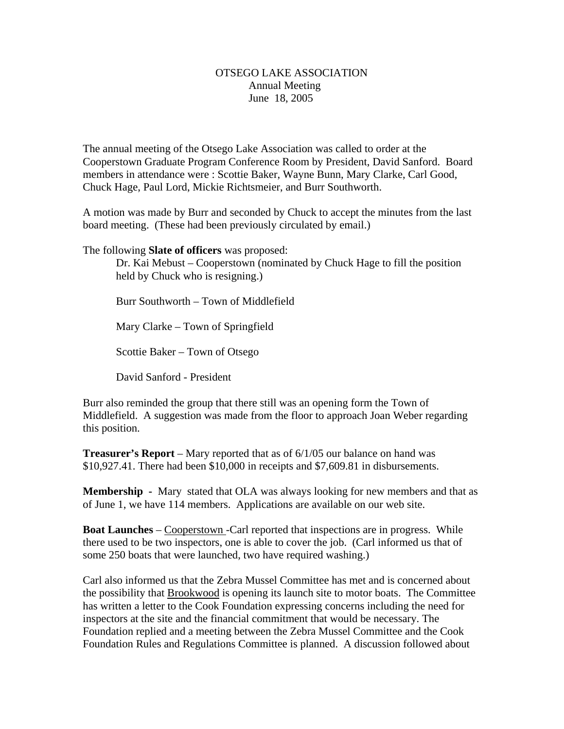## OTSEGO LAKE ASSOCIATION Annual Meeting June 18, 2005

The annual meeting of the Otsego Lake Association was called to order at the Cooperstown Graduate Program Conference Room by President, David Sanford. Board members in attendance were : Scottie Baker, Wayne Bunn, Mary Clarke, Carl Good, Chuck Hage, Paul Lord, Mickie Richtsmeier, and Burr Southworth.

A motion was made by Burr and seconded by Chuck to accept the minutes from the last board meeting. (These had been previously circulated by email.)

The following **Slate of officers** was proposed:

Dr. Kai Mebust – Cooperstown (nominated by Chuck Hage to fill the position held by Chuck who is resigning.)

Burr Southworth – Town of Middlefield Mary Clarke – Town of Springfield

Scottie Baker – Town of Otsego

David Sanford - President

Burr also reminded the group that there still was an opening form the Town of Middlefield. A suggestion was made from the floor to approach Joan Weber regarding this position.

**Treasurer's Report** – Mary reported that as of 6/1/05 our balance on hand was \$10,927.41. There had been \$10,000 in receipts and \$7,609.81 in disbursements.

**Membership -** Mary stated that OLA was always looking for new members and that as of June 1, we have 114 members. Applications are available on our web site.

**Boat Launches** – Cooperstown - Carl reported that inspections are in progress. While there used to be two inspectors, one is able to cover the job. (Carl informed us that of some 250 boats that were launched, two have required washing.)

Carl also informed us that the Zebra Mussel Committee has met and is concerned about the possibility that Brookwood is opening its launch site to motor boats. The Committee has written a letter to the Cook Foundation expressing concerns including the need for inspectors at the site and the financial commitment that would be necessary. The Foundation replied and a meeting between the Zebra Mussel Committee and the Cook Foundation Rules and Regulations Committee is planned. A discussion followed about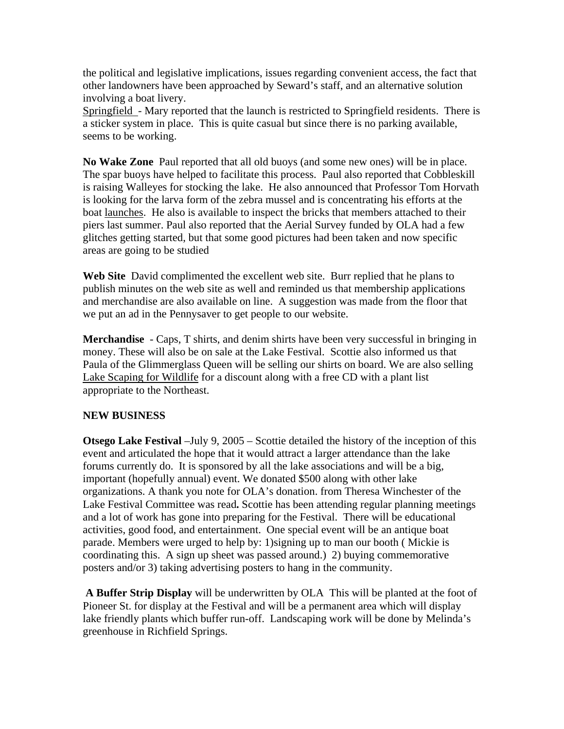the political and legislative implications, issues regarding convenient access, the fact that other landowners have been approached by Seward's staff, and an alternative solution involving a boat livery.

Springfield - Mary reported that the launch is restricted to Springfield residents. There is a sticker system in place. This is quite casual but since there is no parking available, seems to be working.

**No Wake Zone** Paul reported that all old buoys (and some new ones) will be in place. The spar buoys have helped to facilitate this process. Paul also reported that Cobbleskill is raising Walleyes for stocking the lake. He also announced that Professor Tom Horvath is looking for the larva form of the zebra mussel and is concentrating his efforts at the boat launches. He also is available to inspect the bricks that members attached to their piers last summer. Paul also reported that the Aerial Survey funded by OLA had a few glitches getting started, but that some good pictures had been taken and now specific areas are going to be studied

**Web Site** David complimented the excellent web site. Burr replied that he plans to publish minutes on the web site as well and reminded us that membership applications and merchandise are also available on line. A suggestion was made from the floor that we put an ad in the Pennysaver to get people to our website.

**Merchandise** - Caps, T shirts, and denim shirts have been very successful in bringing in money. These will also be on sale at the Lake Festival. Scottie also informed us that Paula of the Glimmerglass Queen will be selling our shirts on board. We are also selling Lake Scaping for Wildlife for a discount along with a free CD with a plant list appropriate to the Northeast.

## **NEW BUSINESS**

**Otsego Lake Festival** –July 9, 2005 – Scottie detailed the history of the inception of this event and articulated the hope that it would attract a larger attendance than the lake forums currently do. It is sponsored by all the lake associations and will be a big, important (hopefully annual) event. We donated \$500 along with other lake organizations. A thank you note for OLA's donation. from Theresa Winchester of the Lake Festival Committee was read**.** Scottie has been attending regular planning meetings and a lot of work has gone into preparing for the Festival. There will be educational activities, good food, and entertainment. One special event will be an antique boat parade. Members were urged to help by: 1)signing up to man our booth ( Mickie is coordinating this. A sign up sheet was passed around.) 2) buying commemorative posters and/or 3) taking advertising posters to hang in the community.

 **A Buffer Strip Display** will be underwritten by OLA This will be planted at the foot of Pioneer St. for display at the Festival and will be a permanent area which will display lake friendly plants which buffer run-off. Landscaping work will be done by Melinda's greenhouse in Richfield Springs.